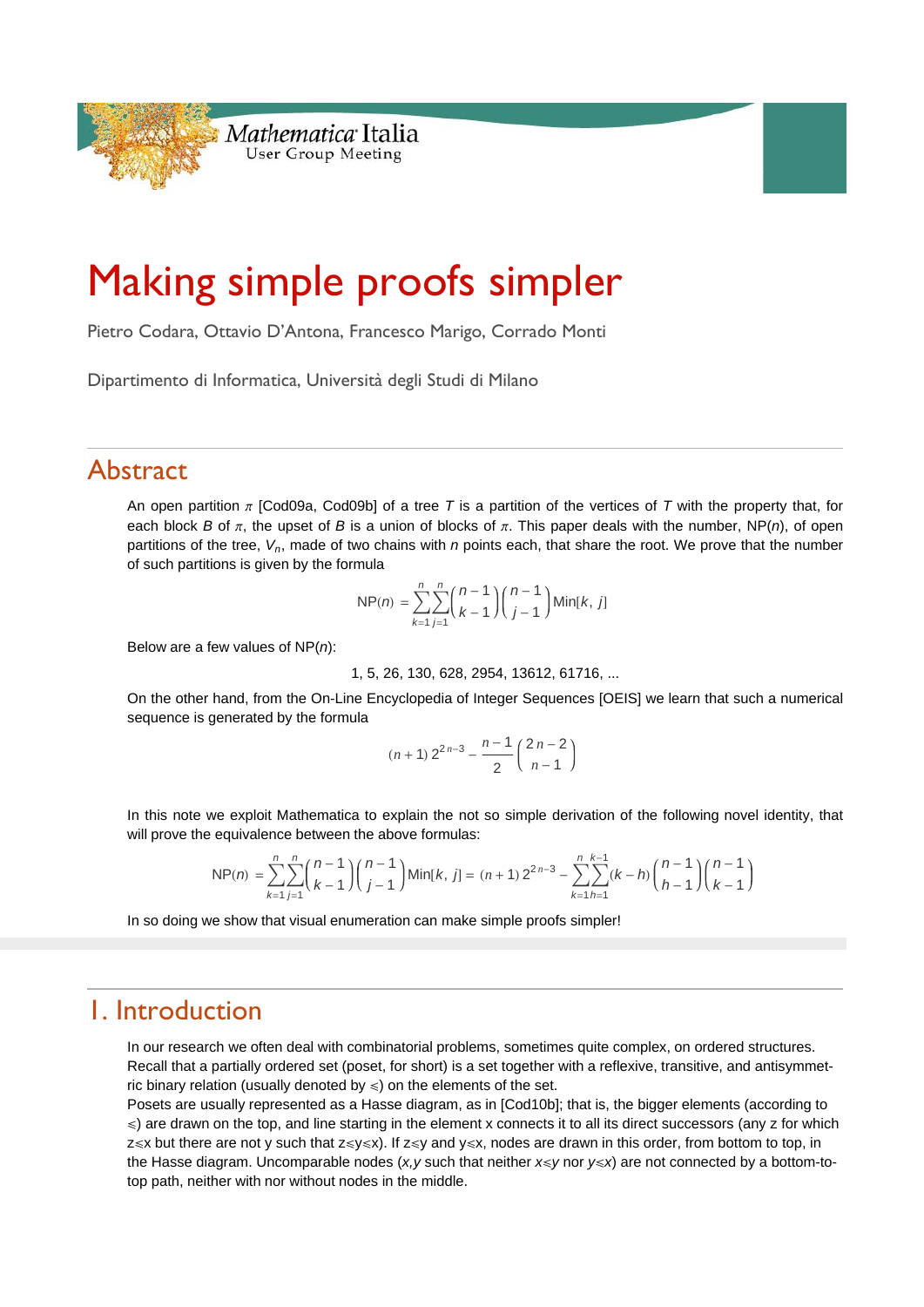

# Making simple proofs simpler

Pietro Codara, Ottavio D'Antona, Francesco Marigo, Corrado Monti

Dipartimento di Informatica, Università degli Studi di Milano

# Abstract

An open partition  $\pi$  [Cod09a, Cod09b] of a tree T is a partition of the vertices of T with the property that, for each block *B* of  $\pi$ , the upset of *B* is a union of blocks of  $\pi$ . This paper deals with the number, NP(*n*), of open partitions of the tree, *Vn*, made of two chains with *n* points each, that share the root. We prove that the number of such partitions is given by the formula

$$
NP(n) = \sum_{k=1}^{n} \sum_{j=1}^{n} {n-1 \choose k-1} {n-1 \choose j-1} Min[k, j]
$$

Below are a few values of NP(*n*):

1, 5, 26, 130, 628, 2954, 13612, 61716, ...

On the other hand, from the On-Line Encyclopedia of Integer Sequences [OEIS] we learn that such a numerical sequence is generated by the formula

$$
(n+1) 2^{2n-3} - \frac{n-1}{2} \binom{2n-2}{n-1}
$$

In this note we exploit Mathematica to explain the not so simple derivation of the following novel identity, that will prove the equivalence between the above formulas:

$$
NP(n) = \sum_{k=1}^{n} \sum_{j=1}^{n} {n-1 \choose k-1} {n-1 \choose j-1} Min[k, j] = (n+1) 2^{2n-3} - \sum_{k=1}^{n} \sum_{h=1}^{k-1} (k-h) {n-1 \choose h-1} {n-1 \choose k-1}
$$

In so doing we show that visual enumeration can make simple proofs simpler!

# 1. Introduction

In our research we often deal with combinatorial problems, sometimes quite complex, on ordered structures. Recall that a partially ordered set (poset, for short) is a set together with a reflexive, transitive, and antisymmetric binary relation (usually denoted by  $\leq$ ) on the elements of the set.

Posets are usually represented as a Hasse diagram, as in [Cod10b]; that is, the bigger elements (according to  $\leq$ ) are drawn on the top, and line starting in the element x connects it to all its direct successors (any z for which  $z\le x$  but there are not y such that  $z\le y\le x$ ). If  $z\le y$  and  $y\le x$ , nodes are drawn in this order, from bottom to top, in the Hasse diagram. Uncomparable nodes (*x,y* such that neither *x*≤*y* nor *y*≤*x*) are not connected by a bottom-totop path, neither with nor without nodes in the middle.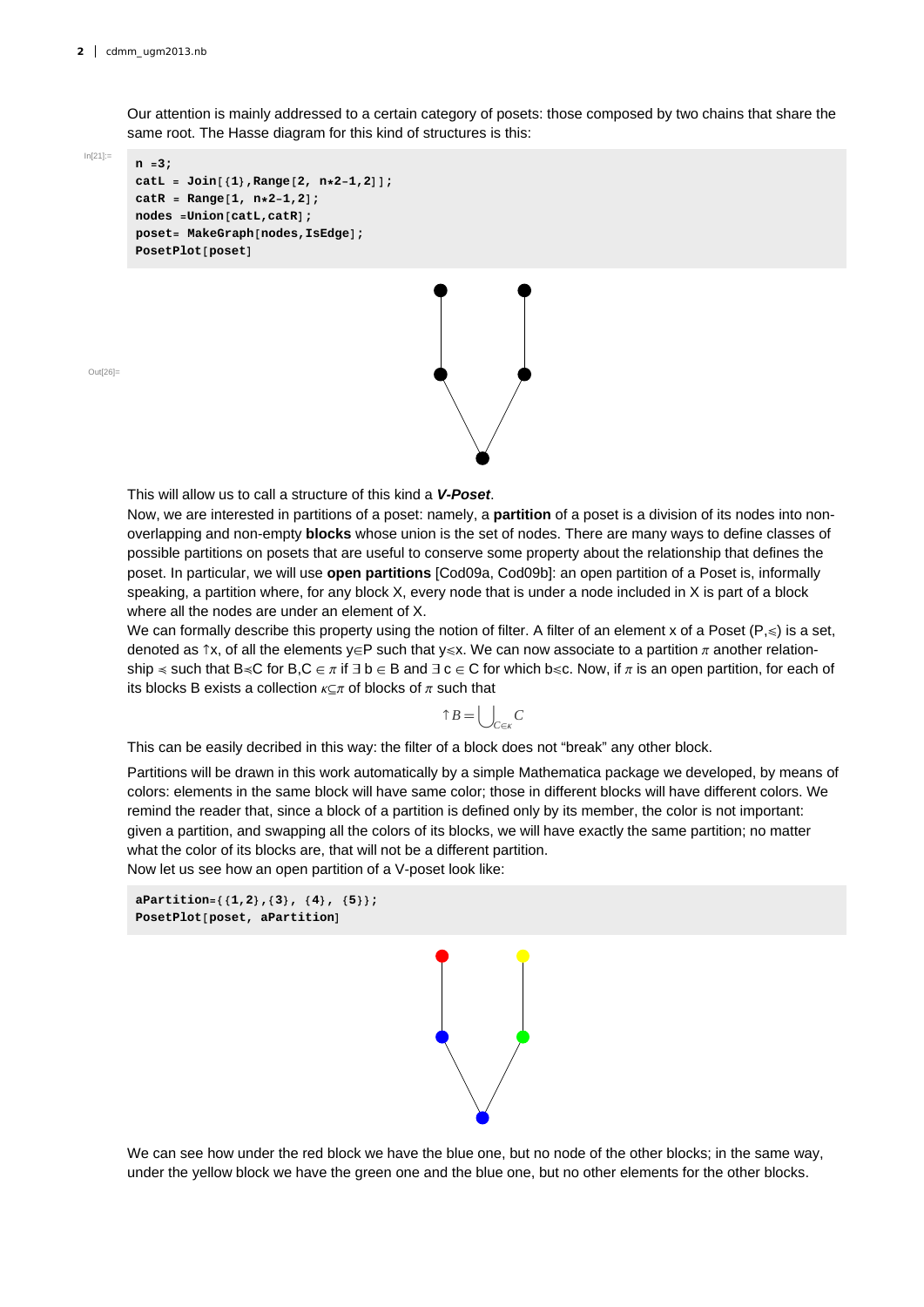Our attention is mainly addressed to a certain category of posets: those composed by two chains that share the same root. The Hasse diagram for this kind of structures is this:

 $ln[21]$ :=

```
n 3;
catL  Join1,Range2, n21,2;
catR  Range1, n21,2;
nodes UnioncatL,catR;
poset MakeGraphnodes,IsEdge;
PosetPlotposet
```


 $Q<sub>U</sub>$ t $|Q<sub>6</sub>|$ 

This will allow us to call a structure of this kind a *V-Poset*.

Now, we are interested in partitions of a poset: namely, a **partition** of a poset is a division of its nodes into nonoverlapping and non-empty **blocks** whose union is the set of nodes. There are many ways to define classes of possible partitions on posets that are useful to conserve some property about the relationship that defines the poset. In particular, we will use **open partitions** [Cod09a, Cod09b]: an open partition of a Poset is, informally speaking, a partition where, for any block X, every node that is under a node included in X is part of a block where all the nodes are under an element of X.

We can formally describe this property using the notion of filter. A filter of an element x of a Poset ( $P,\leqslant$ ) is a set, denoted as  $\hat{}$ x, of all the elements y $\in$ P such that y $\le x$ . We can now associate to a partition  $\pi$  another relationship  $\le$  such that B $\le$ C for B,C  $\in \pi$  if  $\exists$  b  $\in$  B and  $\exists$  c  $\in$  C for which b $\le$ c. Now, if  $\pi$  is an open partition, for each of its blocks B exists a collection  $\kappa \subseteq \pi$  of blocks of  $\pi$  such that

$$
\uparrow B = \bigcup\nolimits_{C \in \kappa} C
$$

This can be easily decribed in this way: the filter of a block does not "break" any other block.

Partitions will be drawn in this work automatically by a simple Mathematica package we developed, by means of colors: elements in the same block will have same color; those in different blocks will have different colors. We remind the reader that, since a block of a partition is defined only by its member, the color is not important: given a partition, and swapping all the colors of its blocks, we will have exactly the same partition; no matter what the color of its blocks are, that will not be a different partition. Now let us see how an open partition of a V-poset look like:

```
aPartition1,2,3, 4, 5;
PosetPlotposet, aPartition
```


We can see how under the red block we have the blue one, but no node of the other blocks; in the same way, under the yellow block we have the green one and the blue one, but no other elements for the other blocks.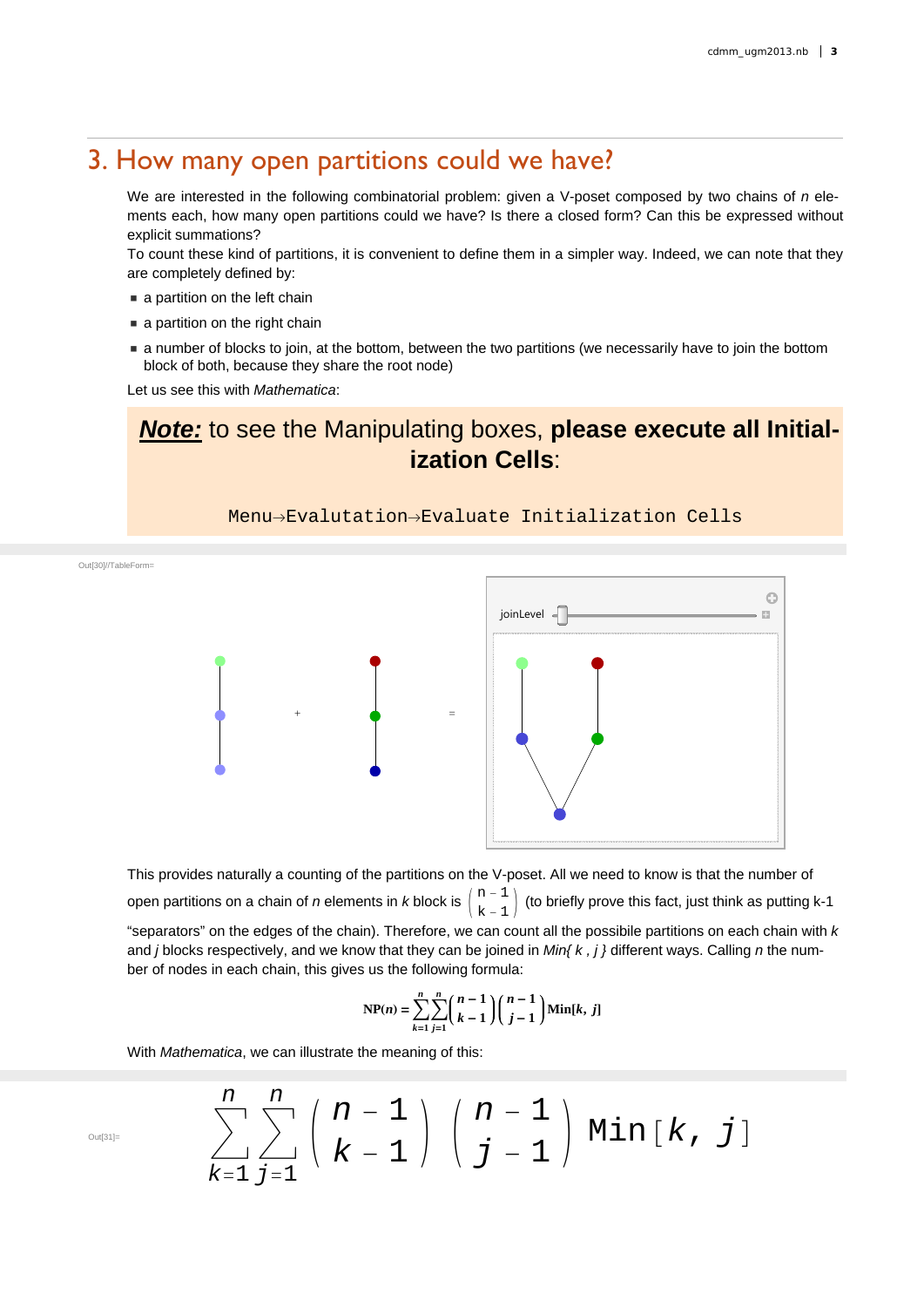### 3. How many open partitions could we have?

We are interested in the following combinatorial problem: given a V-poset composed by two chains of *n* elements each, how many open partitions could we have? Is there a closed form? Can this be expressed without explicit summations?

To count these kind of partitions, it is convenient to define them in a simpler way. Indeed, we can note that they are completely defined by:

- **a** partition on the left chain
- **a** partition on the right chain
- a number of blocks to join, at the bottom, between the two partitions (we necessarily have to join the bottom block of both, because they share the root node)

Let us see this with *Mathematica*:

## *Note:* to see the Manipulating boxes, **please execute all Initialization Cells**:

Menu-Evalutation-Evaluate Initialization Cells

Ġ joinLevel  $\triangleleft$  $\overline{\mathbb{R}}$  $+$   $-$ 

This provides naturally a counting of the partitions on the V-poset. All we need to know is that the number of open partitions on a chain of *n* elements in *k* block is  ${n-1 \choose k-1}$  (to briefly prove this fact, just think as putting k-1 "separators" on the edges of the chain). Therefore, we can count all the possibile partitions on each chain with *k*  and *j* blocks respectively, and we know that they can be joined in *Min{ k , j }* different ways. Calling *n* the number of nodes in each chain, this gives us the following formula:

$$
NP(n) = \sum_{k=1}^{n} \sum_{j=1}^{n} {n-1 \choose k-1} {n-1 \choose j-1} Min[k, j]
$$

With *Mathematica*, we can illustrate the meaning of this:

*k*1

$$
\sum_{\text{out}_{\text{SPI} =}}^{n} \sum_{k=1}^{n} \sum_{j=1}^{n} {n-1 \choose k-1} {n-1 \choose j-1} \text{Min}[k, j]
$$

Out[30]//TableForm=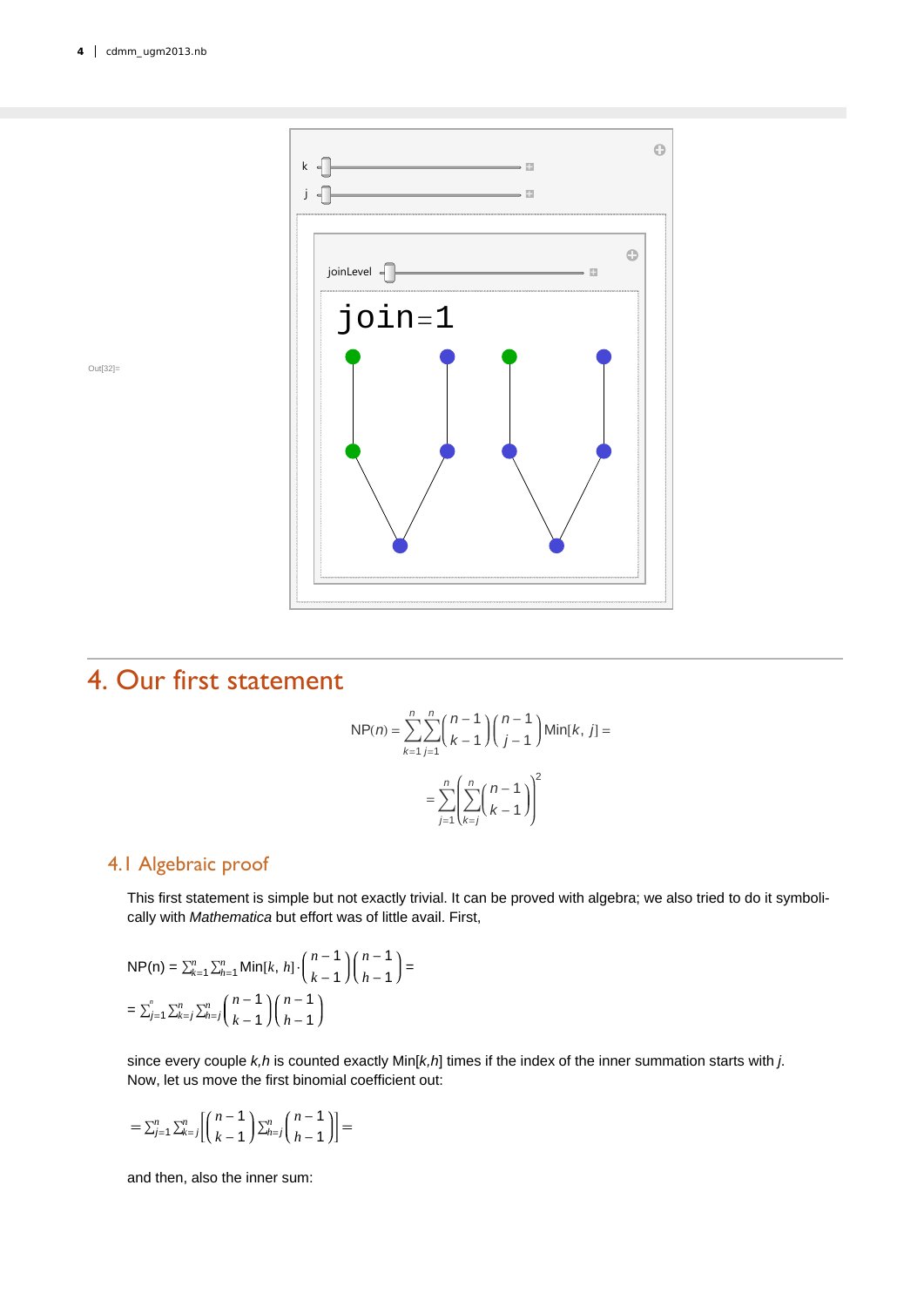

# 4. Our first statement

$$
NP(n) = \sum_{k=1}^{n} \sum_{j=1}^{n} {n-1 \choose k-1} {n-1 \choose j-1} Min[k, j] =
$$

$$
= \sum_{j=1}^{n} \left( \sum_{k=j}^{n} {n-1 \choose k-1} \right)^2
$$

### 4.1 Algebraic proof

This first statement is simple but not exactly trivial. It can be proved with algebra; we also tried to do it symbolically with *Mathematica* but effort was of little avail. First,

$$
NP(n) = \sum_{k=1}^{n} \sum_{h=1}^{n} Min[k, h] \cdot {n-1 \choose k-1} {n-1 \choose h-1} =
$$
  
=  $\sum_{j=1}^{n} \sum_{k=j}^{n} \sum_{h=j}^{n} {n-1 \choose k-1} {n-1 \choose h-1}$ 

since every couple *k,h* is counted exactly Min[*k,h*] times if the index of the inner summation starts with *j*. Now, let us move the first binomial coefficient out:

$$
=\Sigma_{j=1}^n\,\Sigma_{k=j}^n\bigg[\binom{n-1}{k-1}\,\Sigma_{h=j}^n\binom{n-1}{h-1}\bigg]=
$$

and then, also the inner sum: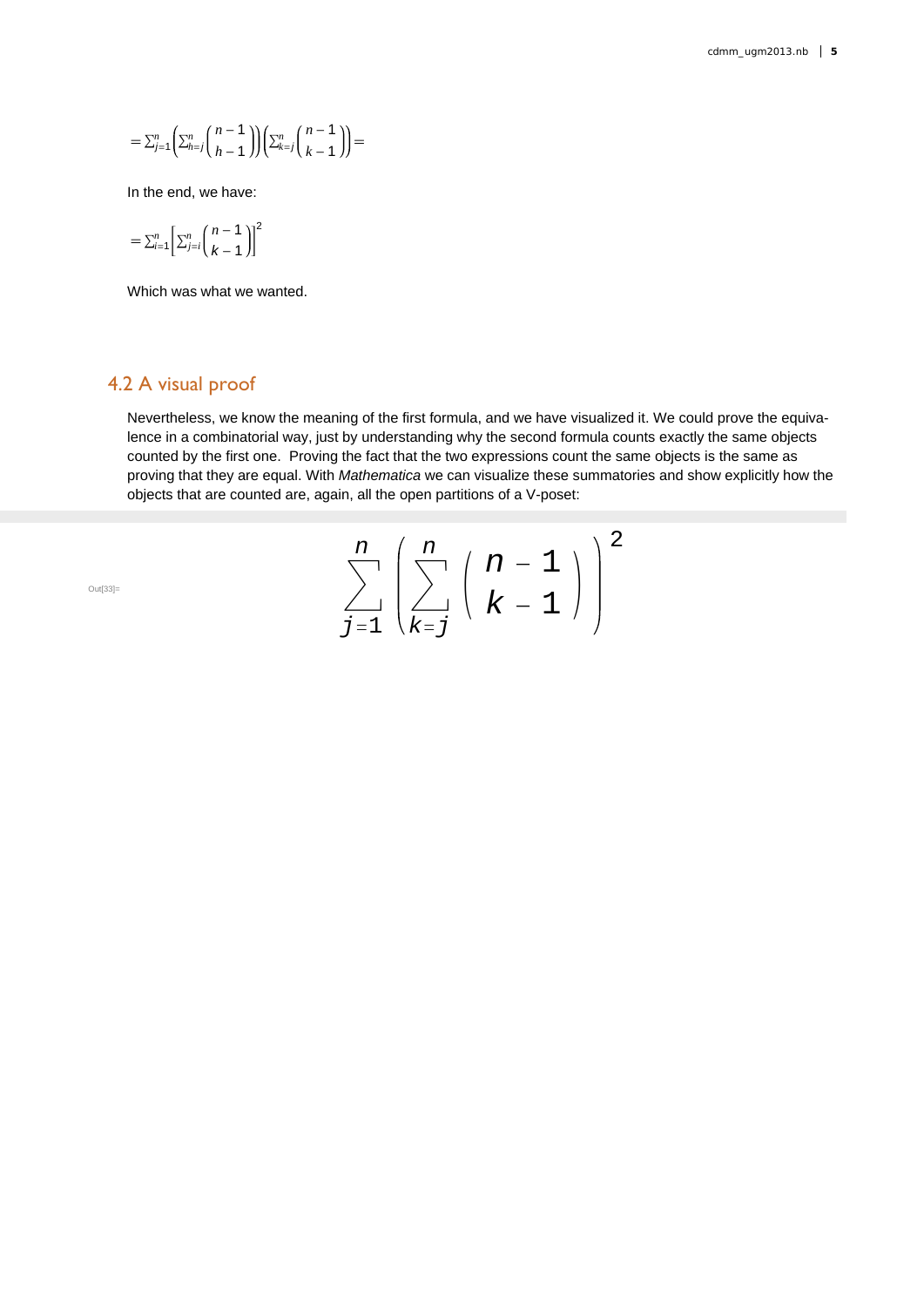$$
=\sum_{j=1}^n\binom{n-1}{k-j}\binom{n-1}{k-1}\left(\sum_{k=j}^n\binom{n-1}{k-1}\right)=
$$

In the end, we have:

$$
=\sum_{i=1}^n\left[\sum_{j=i}^n\binom{n-1}{k-1}\right]^2
$$

Which was what we wanted.

#### 4.2 A visual proof

Nevertheless, we know the meaning of the first formula, and we have visualized it. We could prove the equivalence in a combinatorial way, just by understanding why the second formula counts exactly the same objects counted by the first one. Proving the fact that the two expressions count the same objects is the same as proving that they are equal. With *Mathematica* we can visualize these summatories and show explicitly how the objects that are counted are, again, all the open partitions of a V-poset:

$$
\sum_{\text{Out[33] =}}^{n} \left( \sum_{k=j}^{n} \left( \frac{n-1}{k-1} \right) \right)^2
$$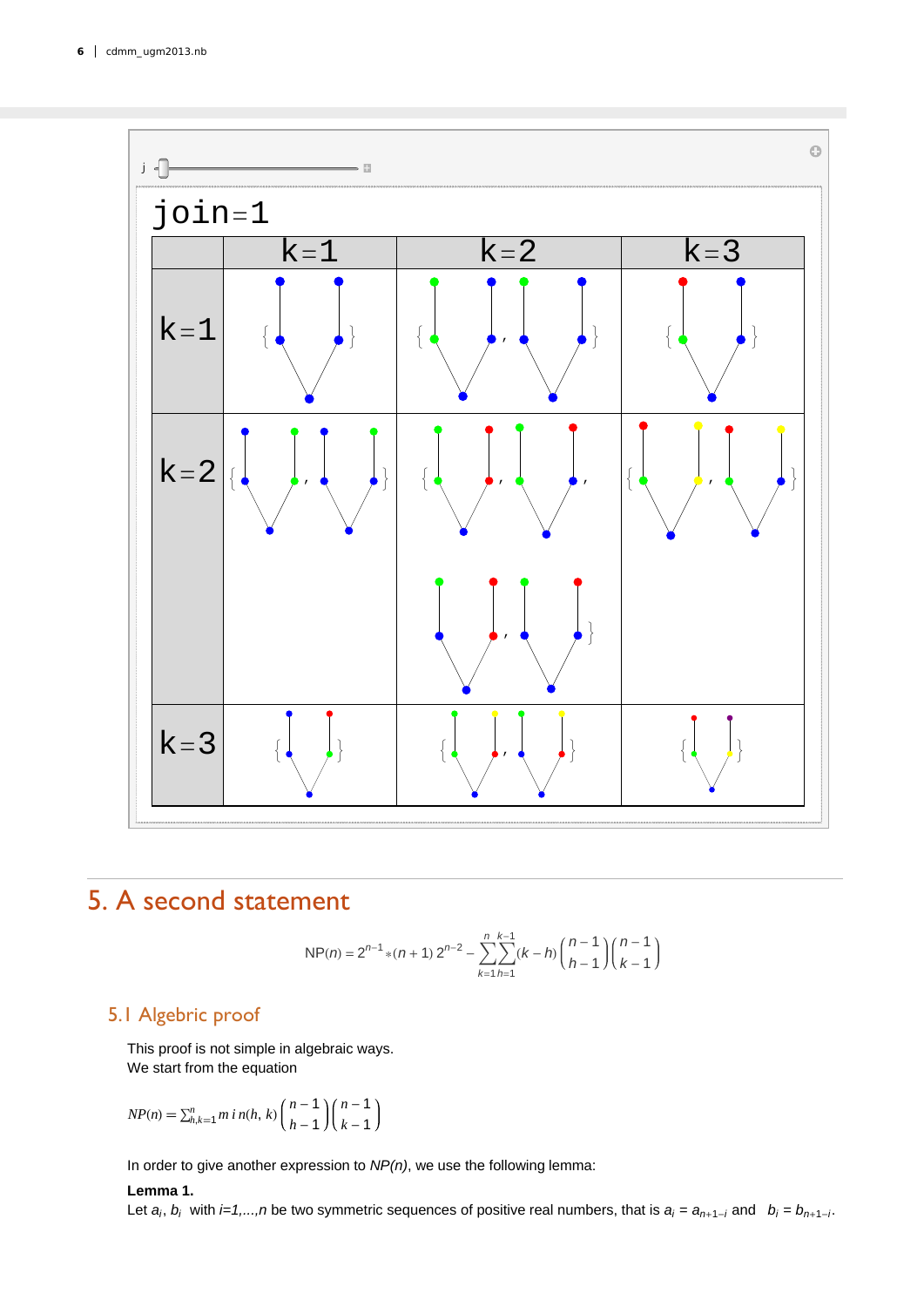

# 5. A second statement

NP(n) = 
$$
2^{n-1}
$$
 \* (n + 1)  $2^{n-2}$  -  $\sum_{k=1}^{n} \sum_{h=1}^{k-1} (k-h) {n-1 \choose h-1} {n-1 \choose k-1}$ 

### 5.1 Algebric proof

This proof is not simple in algebraic ways. We start from the equation

$$
NP(n) = \sum_{h,k=1}^{n} m \, i \, n(h,\,k) \binom{n-1}{h-1} \binom{n-1}{k-1}
$$

In order to give another expression to *NP(n)*, we use the following lemma:

#### **Lemma 1.**

Let  $a_i$ ,  $b_i$  with  $i=1,...,n$  be two symmetric sequences of positive real numbers, that is  $a_i = a_{n+1-i}$  and  $b_i = b_{n+1-i}$ .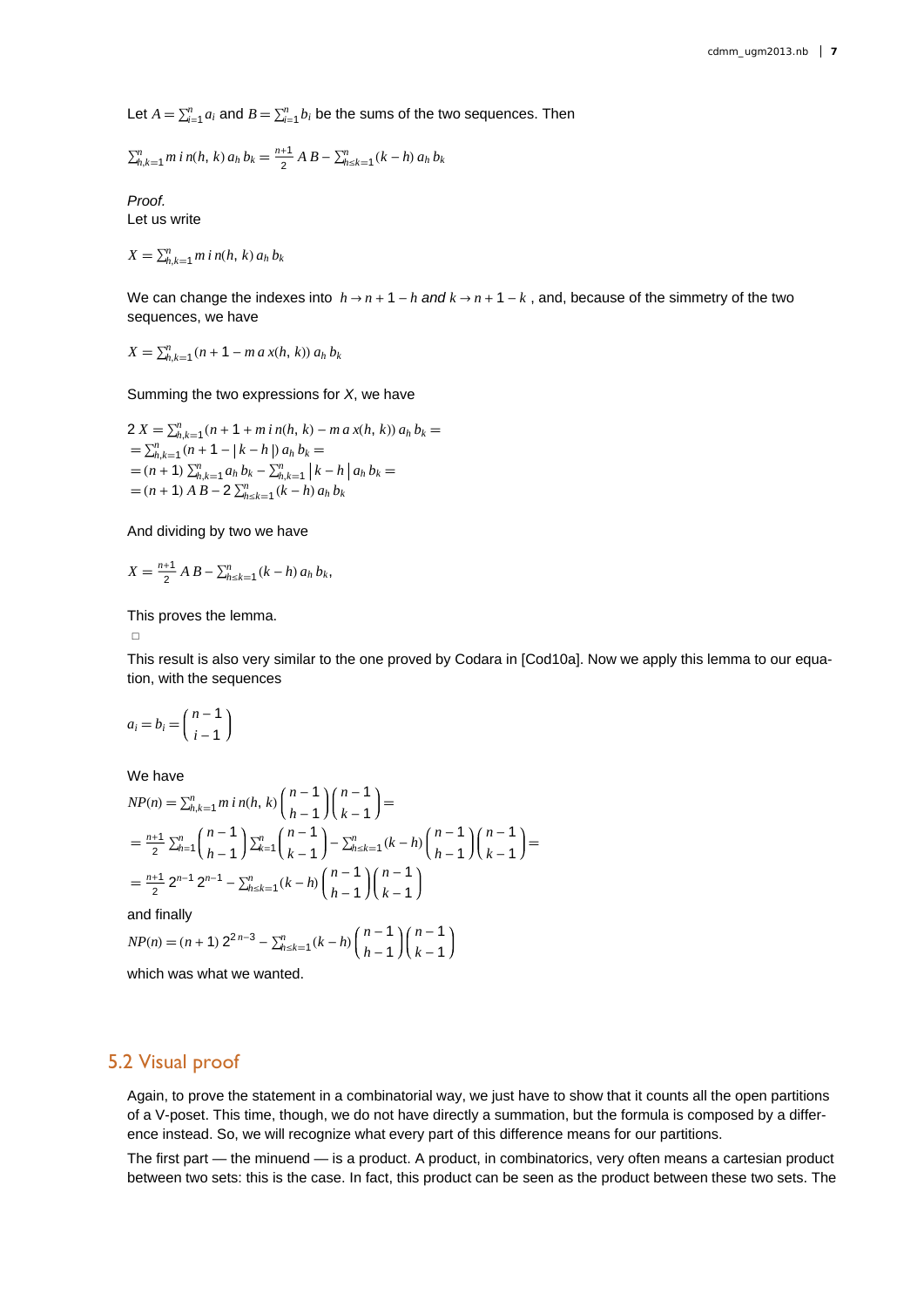Let  $A = \sum_{i=1}^{n} a_i$  and  $B = \sum_{i=1}^{n} b_i$  be the sums of the two sequences. Then

$$
\sum_{h,k=1}^{n} m i n(h, k) a_h b_k = \frac{n+1}{2} A B - \sum_{h \leq k=1}^{n} (k-h) a_h b_k
$$

*Proof.* Let us write

$$
X = \sum_{h,k=1}^{n} m i n(h, k) a_h b_k
$$

We can change the indexes into  $h \rightarrow n + 1 - h$  and  $k \rightarrow n + 1 - k$ , and, because of the simmetry of the two sequences, we have

 $X = \sum_{h,k=1}^{n} (n+1 - m a x(h, k)) a_h b_k$ 

Summing the two expressions for *X*, we have

$$
2 X = \sum_{h,k=1}^{n} (n + 1 + m i n(h, k) - m a x(h, k)) a_h b_k =
$$
  
=  $\sum_{h,k=1}^{n} (n + 1 - |k - h|) a_h b_k =$   
=  $(n + 1) \sum_{h,k=1}^{n} a_h b_k - \sum_{h,k=1}^{n} |k - h| a_h b_k =$   
=  $(n + 1) A B - 2 \sum_{h \leq k=1}^{n} (k - h) a_h b_k$ 

And dividing by two we have

$$
X = \frac{n+1}{2} A B - \sum_{h \le k=1}^{n} (k-h) a_h b_k,
$$

This proves the lemma.

 $\Box$ 

This result is also very similar to the one proved by Codara in [Cod10a]. Now we apply this lemma to our equation, with the sequences

$$
a_i = b_i = \binom{n-1}{i-1}
$$

We have

$$
NP(n) = \sum_{h,k=1}^{n} m \, i \, n(h, k) \binom{n-1}{h-1} \binom{n-1}{k-1} =
$$
\n
$$
= \frac{n+1}{2} \sum_{h=1}^{n} \binom{n-1}{h-1} \sum_{k=1}^{n} \binom{n-1}{k-1} - \sum_{h=k=1}^{n} (k-h) \binom{n-1}{h-1} \binom{n-1}{k-1} =
$$
\n
$$
= \frac{n+1}{2} 2^{n-1} 2^{n-1} - \sum_{h=k=1}^{n} (k-h) \binom{n-1}{h-1} \binom{n-1}{k-1}
$$

and finally

$$
NP(n) = (n+1) 2^{2n-3} - \sum_{h=k+1}^{n} (k-h) \binom{n-1}{h-1} \binom{n-1}{k-1}
$$

which was what we wanted.

#### 5.2 Visual proof

Again, to prove the statement in a combinatorial way, we just have to show that it counts all the open partitions of a V-poset. This time, though, we do not have directly a summation, but the formula is composed by a difference instead. So, we will recognize what every part of this difference means for our partitions.

The first part — the minuend — is a product. A product, in combinatorics, very often means a cartesian product between two sets: this is the case. In fact, this product can be seen as the product between these two sets. The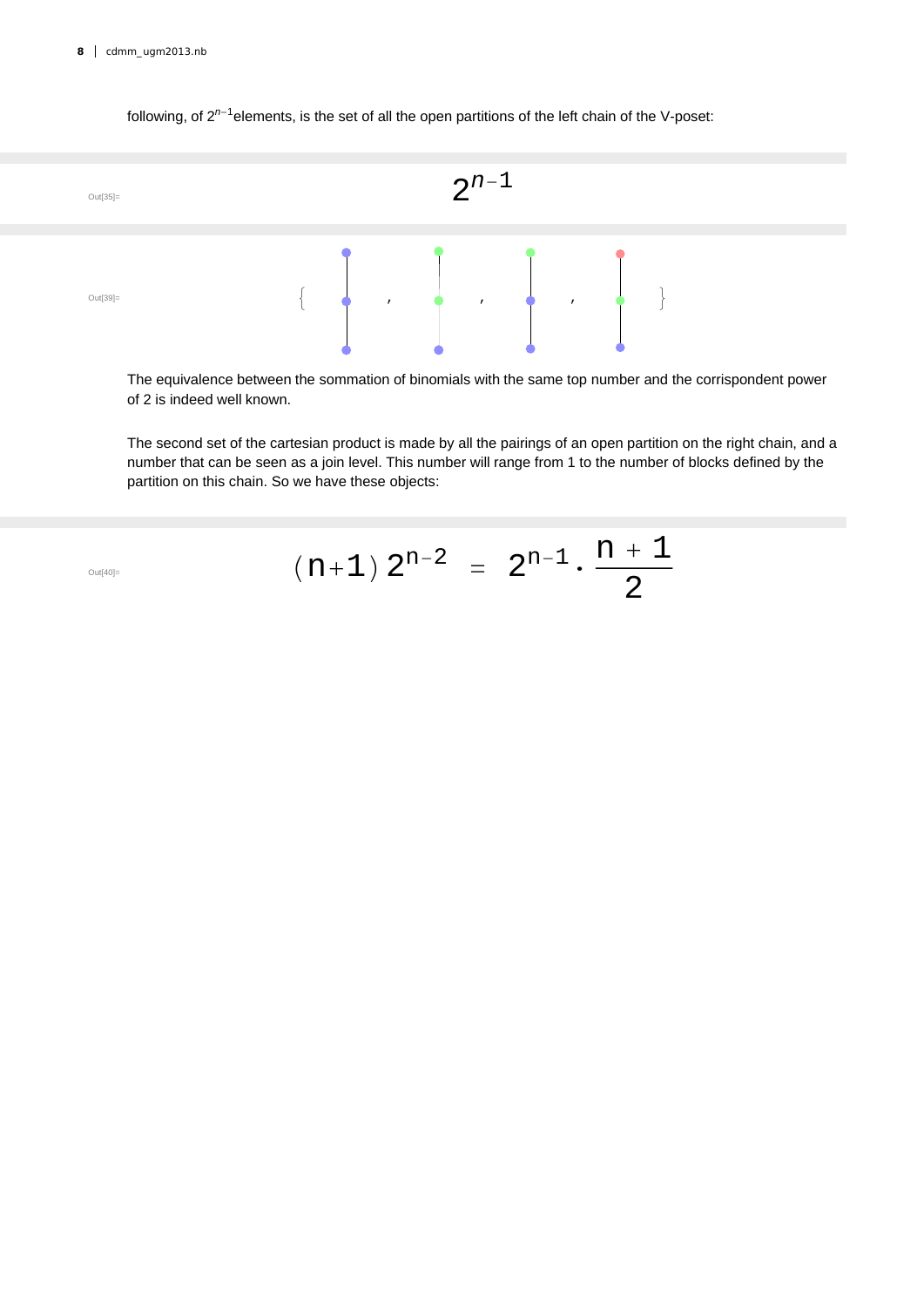#### following, of 2<sup>n-1</sup>elements, is the set of all the open partitions of the left chain of the V-poset:



The equivalence between the sommation of binomials with the same top number and the corrispondent power of 2 is indeed well known.

The second set of the cartesian product is made by all the pairings of an open partition on the right chain, and a number that can be seen as a join level. This number will range from 1 to the number of blocks defined by the partition on this chain. So we have these objects:

$$
\left( n+1\right) \ 2^{n-2}\ =\ 2^{n-1}\cdot \frac{n+1}{2}
$$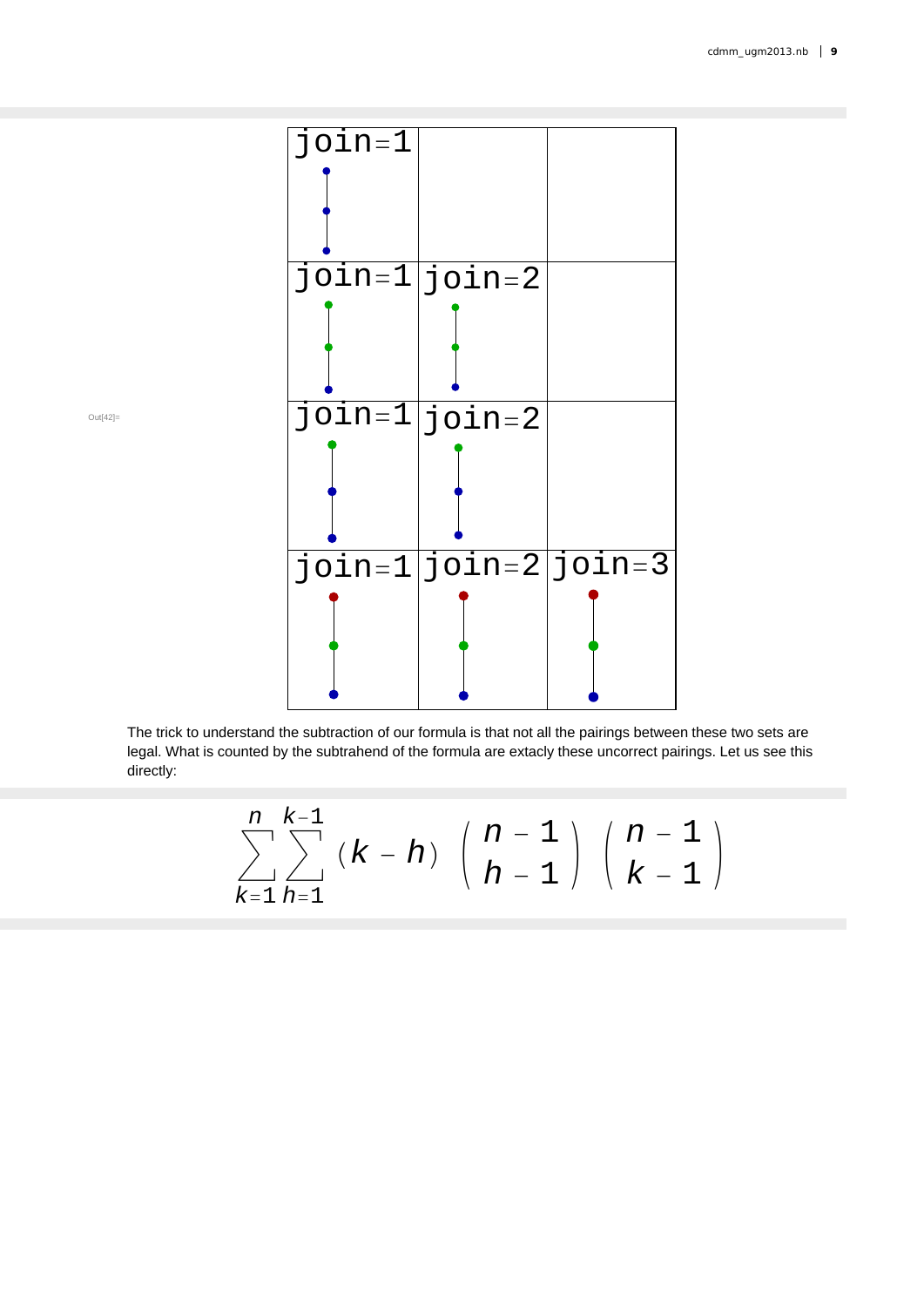

Out[42]=

The trick to understand the subtraction of our formula is that not all the pairings between these two sets are legal. What is counted by the subtrahend of the formula are extacly these uncorrect pairings. Let us see this directly:

$$
\sum_{k=1}^{n} \sum_{h=1}^{k-1} (k-h) \binom{n-1}{h-1} \binom{n-1}{k-1}
$$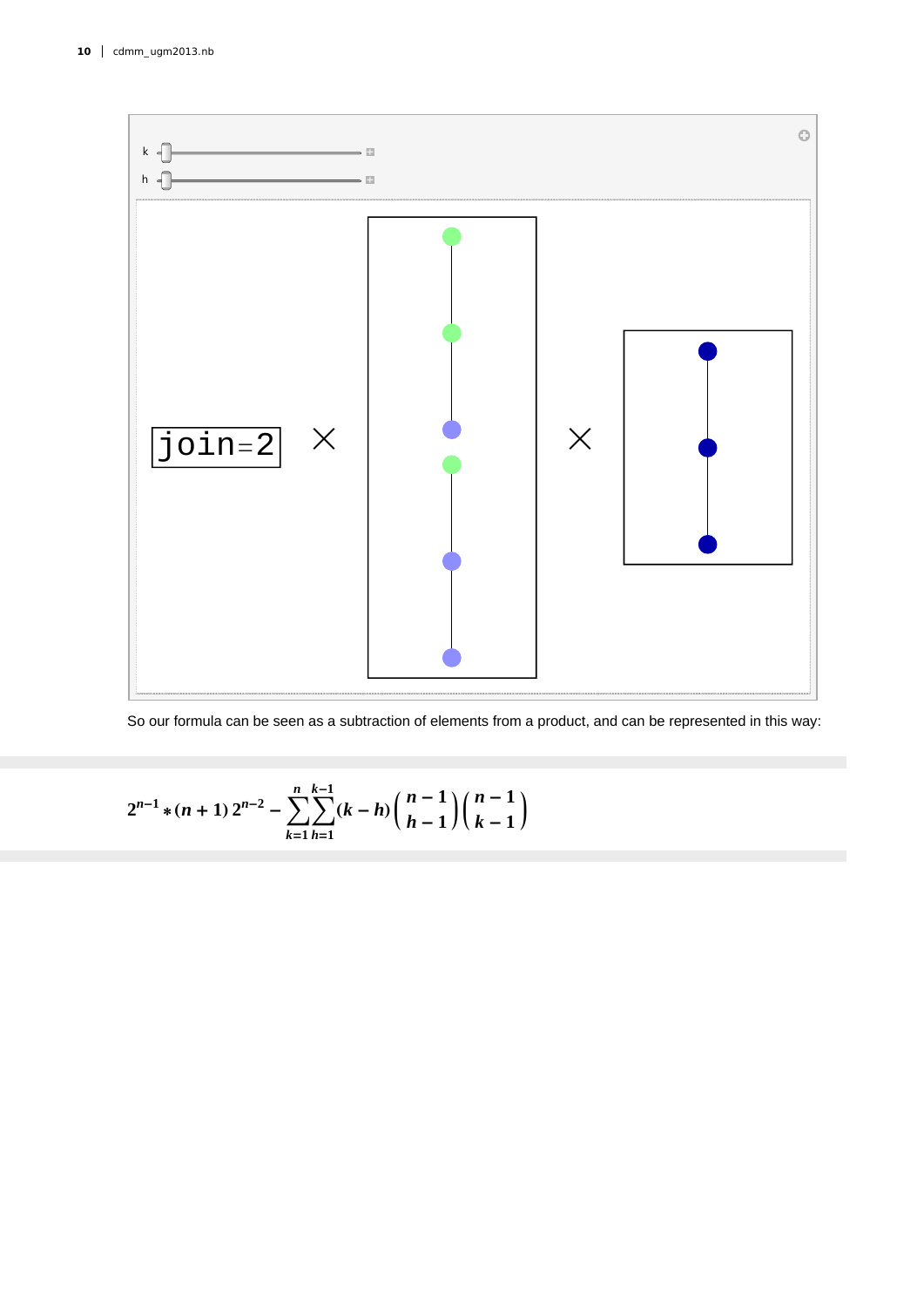

So our formula can be seen as a subtraction of elements from a product, and can be represented in this way:

$$
2^{n-1}*(n+1) 2^{n-2} - \sum_{k=1}^{n} \sum_{h=1}^{k-1} (k-h) \binom{n-1}{h-1} \binom{n-1}{k-1}
$$